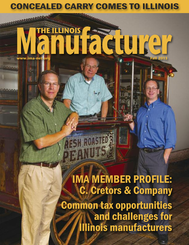## CONCEALED CARRY COMES TO ILLINOIS

## **MARIAMARAMARAM THE ILLINOIS Manufacture www.ima-net.org Fall 2013**

IMA MEMBER PROFILE: C. Cretors & Company Common tax opportunities and challenges for Illinois manufacturers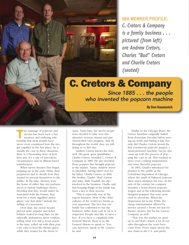*C. Cretors & Company is a family business . . . pictured (from left) are Andrew Cretors, Charles "Bud" Cretors and Charlie Cretors (seated)* **IMA MEMBER PROFILE:**

## C. Cretors & Company

*Since 1885 . . . the people who invented the popcorn machine*

By Dan Naumovich

he marriage of popcorn and<br>movies has been such a har-<br>monious and enduring rela-<br>tionship that most people have movies has been such a harmonious and enduring relationship that most people have never even considered how the two got together in the first place. As is usually the case in these situations, there is a fascinating story of how they met. It's a tale of innovation, circumstances and an Illinois-based manufacturer.

When movie theaters first began popping up in the early 1900s, their proprietors had to decide how they wanted to present themselves to the public. At the time, theaters were the home of either fine arts performances or bawdy burlesque shows. Deciding that they would rather be associated with the former, they went for a more dignified atmosphere, one that didn't include the selling of concessions.

Over time, the movie houses proved quite popular and ticket holders waited in long lines on the sidewalk. Industrious street vendors, selling what was still a novel snack at the time, rolled up with their popcorn carts to feed the theater goers while they waited for the doors to

open. Years later, the movie proprietors decided to take over this attractive revenue stream and purchased their own poppers. And all throughout the world, they are still doing so to this day.

Andrew Cretors knows the story well. His great, great grandfather, Charles Cretors, founded C. Cretors & Company in 1885. He also invented those poppers that brought popcorn to the masses. Today, Andrew serves as president, having taken over for his father, Charlie Cretors, in 2006. His brother, Charles "Bud" Cretors and sister, Beth Youdell, are also involved in the business. Charlie said that keeping things in the family has been a key to their success.

"This is especially true in the export business. Most of the older cultures of the world see family as very important. The fact that our family has continued to run the business, rather than cash in on it, is respected. People also like to have a face. If you have a complaint with General Motors, there is no Mr. General Motors to speak to. You can, however, speak to Mr. Cretors," he said.

Similar to the Chicago Bears, the Cretors franchise originally hailed from downstate Decatur before moving up north and hitting it big. Not only did Charles Cretors invent the first commercial popcorn popper, a steam-powered machine, but he also came up with the process of popping the corn in oil. This resulted in more even cooking temperatures and more flavorful popcorn.

In 1893, Charles introduced his product to the public at the Columbian Exposition in Chicago, where the smell of buttered popcorn drew much attention his way. At the turn of the century his company invented a horse-drawn popcorn wagon and in the following decade designed poppers that were powered by electricity. When the Depression hit in the 1930s, the cheap entertainment offered by movies created a boom not just for theater owners, but for the Cretors Company as well.

"That was the market we grew up in and that's where a lot of our sales throughout the years have come from. Every major movie theater chain in the U.S. and pretty